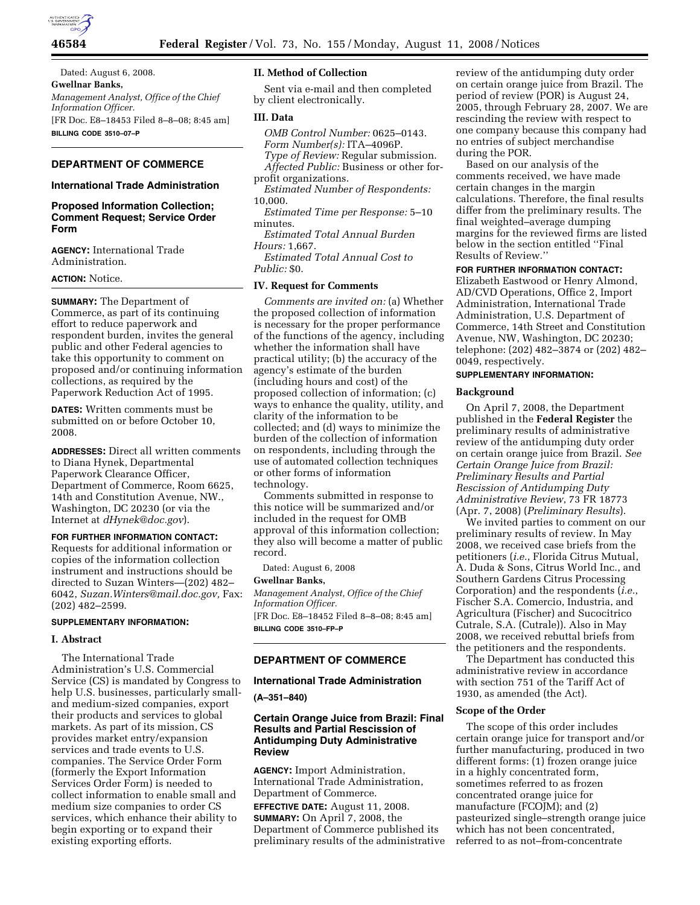

Dated: August 6, 2008. **Gwellnar Banks,**  *Management Analyst, Office of the Chief Information Officer.*  [FR Doc. E8–18453 Filed 8–8–08; 8:45 am] **BILLING CODE 3510–07–P** 

# **DEPARTMENT OF COMMERCE**

#### **International Trade Administration**

# **Proposed Information Collection; Comment Request; Service Order Form**

**AGENCY:** International Trade Administration.

# **ACTION:** Notice.

**SUMMARY:** The Department of Commerce, as part of its continuing effort to reduce paperwork and respondent burden, invites the general public and other Federal agencies to take this opportunity to comment on proposed and/or continuing information collections, as required by the Paperwork Reduction Act of 1995.

**DATES:** Written comments must be submitted on or before October 10, 2008.

**ADDRESSES:** Direct all written comments to Diana Hynek, Departmental Paperwork Clearance Officer, Department of Commerce, Room 6625, 14th and Constitution Avenue, NW., Washington, DC 20230 (or via the Internet at *dHynek@doc.gov*).

# **FOR FURTHER INFORMATION CONTACT:**

Requests for additional information or copies of the information collection instrument and instructions should be directed to Suzan Winters—(202) 482– 6042, *Suzan.Winters@mail.doc.gov,* Fax: (202) 482–2599.

### **SUPPLEMENTARY INFORMATION:**

#### **I. Abstract**

The International Trade Administration's U.S. Commercial Service (CS) is mandated by Congress to help U.S. businesses, particularly smalland medium-sized companies, export their products and services to global markets. As part of its mission, CS provides market entry/expansion services and trade events to U.S. companies. The Service Order Form (formerly the Export Information Services Order Form) is needed to collect information to enable small and medium size companies to order CS services, which enhance their ability to begin exporting or to expand their existing exporting efforts.

#### **II. Method of Collection**

Sent via e-mail and then completed by client electronically.

# **III. Data**

*OMB Control Number:* 0625–0143. *Form Number(s):* ITA–4096P. *Type of Review:* Regular submission. *Affected Public:* Business or other forprofit organizations.

*Estimated Number of Respondents:*  10,000.

*Estimated Time per Response:* 5–10 minutes.

*Estimated Total Annual Burden Hours:* 1,667.

*Estimated Total Annual Cost to*   $P_{11}$ *blic*:  $$0$ .

#### **IV. Request for Comments**

*Comments are invited on:* (a) Whether the proposed collection of information is necessary for the proper performance of the functions of the agency, including whether the information shall have practical utility; (b) the accuracy of the agency's estimate of the burden (including hours and cost) of the proposed collection of information; (c) ways to enhance the quality, utility, and clarity of the information to be collected; and (d) ways to minimize the burden of the collection of information on respondents, including through the use of automated collection techniques or other forms of information technology.

Comments submitted in response to this notice will be summarized and/or included in the request for OMB approval of this information collection; they also will become a matter of public record.

Dated: August 6, 2008

**Gwellnar Banks,**  *Management Analyst, Office of the Chief Information Officer.*  [FR Doc. E8–18452 Filed 8–8–08; 8:45 am] **BILLING CODE 3510–FP–P** 

## **DEPARTMENT OF COMMERCE**

## **International Trade Administration**

#### **(A–351–840)**

# **Certain Orange Juice from Brazil: Final Results and Partial Rescission of Antidumping Duty Administrative Review**

**AGENCY:** Import Administration, International Trade Administration, Department of Commerce.

**EFFECTIVE DATE:** August 11, 2008. **SUMMARY:** On April 7, 2008, the Department of Commerce published its preliminary results of the administrative

review of the antidumping duty order on certain orange juice from Brazil. The period of review (POR) is August 24, 2005, through February 28, 2007. We are rescinding the review with respect to one company because this company had no entries of subject merchandise during the POR.

Based on our analysis of the comments received, we have made certain changes in the margin calculations. Therefore, the final results differ from the preliminary results. The final weighted–average dumping margins for the reviewed firms are listed below in the section entitled ''Final Results of Review.''

# **FOR FURTHER INFORMATION CONTACT:**

Elizabeth Eastwood or Henry Almond, AD/CVD Operations, Office 2, Import Administration, International Trade Administration, U.S. Department of Commerce, 14th Street and Constitution Avenue, NW, Washington, DC 20230; telephone: (202) 482–3874 or (202) 482– 0049, respectively.

#### **SUPPLEMENTARY INFORMATION:**

#### **Background**

On April 7, 2008, the Department published in the **Federal Register** the preliminary results of administrative review of the antidumping duty order on certain orange juice from Brazil. *See Certain Orange Juice from Brazil: Preliminary Results and Partial Rescission of Antidumping Duty Administrative Review*, 73 FR 18773 (Apr. 7, 2008) (*Preliminary Results*).

We invited parties to comment on our preliminary results of review. In May 2008, we received case briefs from the petitioners (*i.e.*, Florida Citrus Mutual, A. Duda & Sons, Citrus World Inc., and Southern Gardens Citrus Processing Corporation) and the respondents (*i.e.*, Fischer S.A. Comercio, Industria, and Agricultura (Fischer) and Sucocitrico Cutrale, S.A. (Cutrale)). Also in May 2008, we received rebuttal briefs from the petitioners and the respondents.

The Department has conducted this administrative review in accordance with section 751 of the Tariff Act of 1930, as amended (the Act).

## **Scope of the Order**

The scope of this order includes certain orange juice for transport and/or further manufacturing, produced in two different forms: (1) frozen orange juice in a highly concentrated form, sometimes referred to as frozen concentrated orange juice for manufacture (FCOJM); and (2) pasteurized single–strength orange juice which has not been concentrated, referred to as not–from-concentrate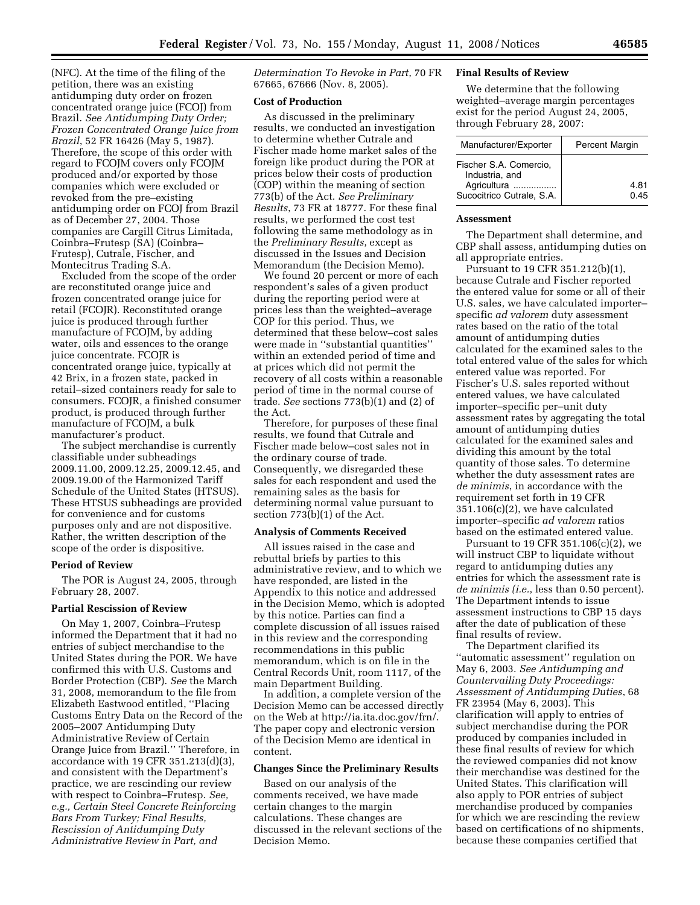(NFC). At the time of the filing of the petition, there was an existing antidumping duty order on frozen concentrated orange juice (FCOJ) from Brazil. *See Antidumping Duty Order; Frozen Concentrated Orange Juice from Brazil*, 52 FR 16426 (May 5, 1987). Therefore, the scope of this order with regard to FCOJM covers only FCOJM produced and/or exported by those companies which were excluded or revoked from the pre–existing antidumping order on FCOJ from Brazil as of December 27, 2004. Those companies are Cargill Citrus Limitada, Coinbra–Frutesp (SA) (Coinbra– Frutesp), Cutrale, Fischer, and Montecitrus Trading S.A.

Excluded from the scope of the order are reconstituted orange juice and frozen concentrated orange juice for retail (FCOJR). Reconstituted orange juice is produced through further manufacture of FCOJM, by adding water, oils and essences to the orange juice concentrate. FCOJR is concentrated orange juice, typically at 42 Brix, in a frozen state, packed in retail–sized containers ready for sale to consumers. FCOJR, a finished consumer product, is produced through further manufacture of FCOJM, a bulk manufacturer's product.

The subject merchandise is currently classifiable under subheadings 2009.11.00, 2009.12.25, 2009.12.45, and 2009.19.00 of the Harmonized Tariff Schedule of the United States (HTSUS). These HTSUS subheadings are provided for convenience and for customs purposes only and are not dispositive. Rather, the written description of the scope of the order is dispositive.

#### **Period of Review**

The POR is August 24, 2005, through February 28, 2007.

#### **Partial Rescission of Review**

On May 1, 2007, Coinbra–Frutesp informed the Department that it had no entries of subject merchandise to the United States during the POR. We have confirmed this with U.S. Customs and Border Protection (CBP). *See* the March 31, 2008, memorandum to the file from Elizabeth Eastwood entitled, ''Placing Customs Entry Data on the Record of the 2005–2007 Antidumping Duty Administrative Review of Certain Orange Juice from Brazil.'' Therefore, in accordance with 19 CFR 351.213(d)(3), and consistent with the Department's practice, we are rescinding our review with respect to Coinbra–Frutesp. *See, e.g., Certain Steel Concrete Reinforcing Bars From Turkey; Final Results, Rescission of Antidumping Duty Administrative Review in Part, and* 

*Determination To Revoke in Part*, 70 FR 67665, 67666 (Nov. 8, 2005).

### **Cost of Production**

As discussed in the preliminary results, we conducted an investigation to determine whether Cutrale and Fischer made home market sales of the foreign like product during the POR at prices below their costs of production (COP) within the meaning of section 773(b) of the Act. *See Preliminary Results*, 73 FR at 18777. For these final results, we performed the cost test following the same methodology as in the *Preliminary Results*, except as discussed in the Issues and Decision Memorandum (the Decision Memo).

We found 20 percent or more of each respondent's sales of a given product during the reporting period were at prices less than the weighted–average COP for this period. Thus, we determined that these below–cost sales were made in ''substantial quantities'' within an extended period of time and at prices which did not permit the recovery of all costs within a reasonable period of time in the normal course of trade. *See* sections 773(b)(1) and (2) of the Act.

Therefore, for purposes of these final results, we found that Cutrale and Fischer made below–cost sales not in the ordinary course of trade. Consequently, we disregarded these sales for each respondent and used the remaining sales as the basis for determining normal value pursuant to section 773(b)(1) of the Act.

### **Analysis of Comments Received**

All issues raised in the case and rebuttal briefs by parties to this administrative review, and to which we have responded, are listed in the Appendix to this notice and addressed in the Decision Memo, which is adopted by this notice. Parties can find a complete discussion of all issues raised in this review and the corresponding recommendations in this public memorandum, which is on file in the Central Records Unit, room 1117, of the main Department Building.

In addition, a complete version of the Decision Memo can be accessed directly on the Web at http://ia.ita.doc.gov/frn/. The paper copy and electronic version of the Decision Memo are identical in content.

#### **Changes Since the Preliminary Results**

Based on our analysis of the comments received, we have made certain changes to the margin calculations. These changes are discussed in the relevant sections of the Decision Memo.

### **Final Results of Review**

We determine that the following weighted–average margin percentages exist for the period August 24, 2005, through February 28, 2007:

| Manufacturer/Exporter                                                                | <b>Percent Margin</b> |
|--------------------------------------------------------------------------------------|-----------------------|
| Fischer S.A. Comercio.<br>Industria, and<br>Agricultura<br>Sucocitrico Cutrale, S.A. | 4.81<br>0.45          |

### **Assessment**

The Department shall determine, and CBP shall assess, antidumping duties on all appropriate entries.

Pursuant to 19 CFR 351.212(b)(1), because Cutrale and Fischer reported the entered value for some or all of their U.S. sales, we have calculated importer– specific *ad valorem* duty assessment rates based on the ratio of the total amount of antidumping duties calculated for the examined sales to the total entered value of the sales for which entered value was reported. For Fischer's U.S. sales reported without entered values, we have calculated importer–specific per–unit duty assessment rates by aggregating the total amount of antidumping duties calculated for the examined sales and dividing this amount by the total quantity of those sales. To determine whether the duty assessment rates are *de minimis*, in accordance with the requirement set forth in 19 CFR 351.106(c)(2), we have calculated importer–specific *ad valorem* ratios based on the estimated entered value.

Pursuant to 19 CFR 351.106(c)(2), we will instruct CBP to liquidate without regard to antidumping duties any entries for which the assessment rate is *de minimis (i.e.*, less than 0.50 percent). The Department intends to issue assessment instructions to CBP 15 days after the date of publication of these final results of review.

The Department clarified its ''automatic assessment'' regulation on May 6, 2003. *See Antidumping and Countervailing Duty Proceedings: Assessment of Antidumping Duties*, 68 FR 23954 (May 6, 2003). This clarification will apply to entries of subject merchandise during the POR produced by companies included in these final results of review for which the reviewed companies did not know their merchandise was destined for the United States. This clarification will also apply to POR entries of subject merchandise produced by companies for which we are rescinding the review based on certifications of no shipments, because these companies certified that